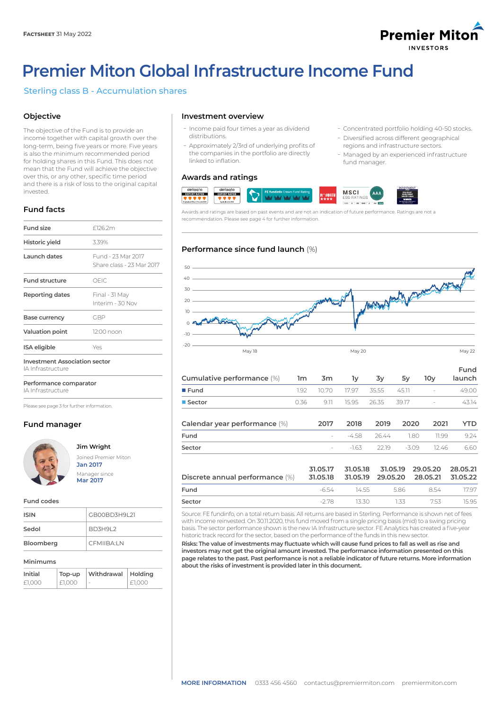

ܥConcentrated portfolio holding 40-50 stocks. - Diversified across different geographical regions and infrastructure sectors. - Managed by an experienced infrastructure

fund manager.

# **Premier Miton Global Infrastructure Income Fund**

# Sterling class B - Accumulation shares

# **Objective**

The objective of the Fund is to provide an income together with capital growth over the long-term, being five years or more. Five years is also the minimum recommended period for holding shares in this Fund. This does not mean that the Fund will achieve the objective over this, or any other, specific time period and there is a risk of loss to the original capital invested.

# **Fund facts**

| Fund size                                                 | f126.2m                                         |  |
|-----------------------------------------------------------|-------------------------------------------------|--|
| Historic yield                                            | 3.39%                                           |  |
| Launch dates                                              | Fund - 23 Mar 2017<br>Share class - 23 Mar 2017 |  |
| <b>Fund structure</b>                                     | OFIC                                            |  |
| Reporting dates                                           | Final - 31 May<br>Interim - 30 Nov              |  |
| Base currency                                             | GBP                                             |  |
| <b>Valuation point</b>                                    | 12:00 noon                                      |  |
| <b>ISA</b> eligible                                       | Yes                                             |  |
| <b>Investment Association sector</b><br>IA Infrastructure |                                                 |  |

**Performance comparator** IA Infrastructure

Please see page 3 for further information.

# **Fund manager**



# **Jim Wright**



### **Fund codes**

| GB00BD3H9L21<br><b>ISIN</b> |                |
|-----------------------------|----------------|
| Sedol                       | <b>BD3H9L2</b> |
| Bloomberg                   | CFMIIBA:LN     |

### **Minimums**

| Initial | Top-up | Withdrawal | ∣ Holdina |
|---------|--------|------------|-----------|
| £1.000  | £1.000 | ×          | £1.000    |

# **Investment overview**

- Income paid four times a year as dividend distributions.
- Approximately 2/3rd of underlying profits of the companies in the portfolio are directly linked to inflation.

# **Awards and ratings**



Awards and ratings are based on past events and are not an indication of future performance. Ratings are not a recommendation. Please see page 4 for further information.

# **Performance since fund launch** (%)



| Cumulative performance (%)    | 1m   | 3m                       | 1y      | 3y    | 5y      | 10 <sub>V</sub>          | Fund<br>launch |
|-------------------------------|------|--------------------------|---------|-------|---------|--------------------------|----------------|
| $I$ Fund                      | 1.92 | 10.70                    | 17.97   | 35.55 | 45.11   | $\overline{\phantom{a}}$ | 49.00          |
| ■ Sector                      | 0.36 | 9.11                     | 15.95   | 26.35 | 39.17   | $\overline{\phantom{a}}$ | 43.14          |
| Calendar year performance (%) |      | 2017                     | 2018    | 2019  | 2020    | 2021                     | YTD            |
| Fund                          |      | $\overline{\phantom{a}}$ | $-4.58$ | 26.44 | 1.80    | 11.99                    | 9.24           |
| Sector                        |      | $\sim$                   | $-1.63$ | 22.19 | $-3.09$ | 12.46                    | 6.60           |
|                               |      |                          |         |       |         |                          |                |

| Discrete annual performance (%) 31.05.18 31.05.19 29.05.20 28.05.21 31.05.22 |       |         |          | 31.05.17 31.05.18 31.05.19 29.05.20 28.05.21 |       |
|------------------------------------------------------------------------------|-------|---------|----------|----------------------------------------------|-------|
| Fund                                                                         | -6.54 |         | 1455 586 | 8.54                                         | 17 97 |
| Sector                                                                       | -278  | 13.30 L | 1.33     | 753                                          | 1595  |

Source: FE fundinfo, on a total return basis. All returns are based in Sterling. Performance is shown net of fees with income reinvested. On 30.11.2020, this fund moved from a single pricing basis (mid) to a swing pricing basis. The sector performance shown is the new IA Infrastructure sector. FE Analytics has created a five-year historic track record for the sector, based on the performance of the funds in this new sector.

**Risks: The value of investments may fluctuate which will cause fund prices to fall as well as rise and investors may not get the original amount invested. The performance information presented on this page relates to the past. Past performance is not a reliable indicator of future returns. More information about the risks of investment is provided later in this document.**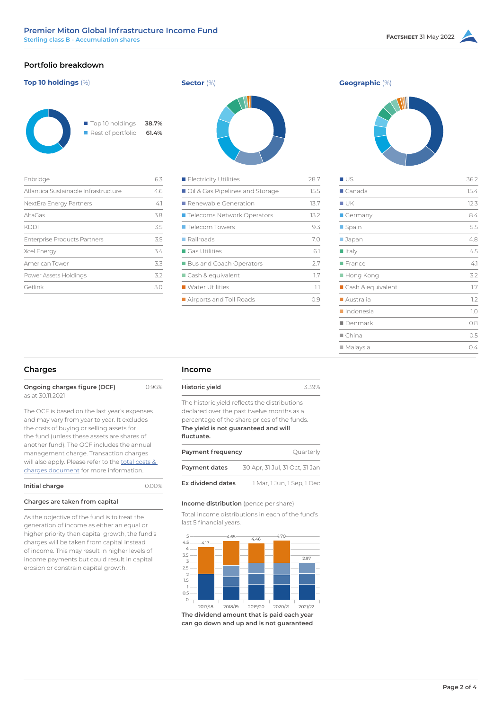# **Portfolio breakdown**

| Top 10 holdings (%)                                 |                |
|-----------------------------------------------------|----------------|
| $\blacksquare$ Top 10 holdings<br>Rest of portfolio | 38.7%<br>61.4% |
| Enbridge                                            | 6.3            |
| Atlantica Sustainable Infrastructure                | 4.6            |
| NextEra Energy Partners                             | $-4.1$         |
| AltaGas                                             | 3.8            |
| KDDI                                                | 3.5            |

Enterprise Products Partners 3.5 Xcel Energy 3.4 American Tower 3.3 Power Assets Holdings 3.2 Getlink 3.0



| Electricity Utilities               | 28.7 |
|-------------------------------------|------|
| Oil & Gas Pipelines and Storage     | 15.5 |
| $\blacksquare$ Renewable Generation | 13.7 |
| ■ Telecoms Network Operators        | 13.2 |
| ■ Telecom Towers                    | 9.3  |
| $\blacksquare$ Railroads            | 7.0  |
| $\blacksquare$ Gas Utilities        | 6.1  |
| <b>Bus and Coach Operators</b>      | 27   |
| ■ Cash & equivalent                 | 1.7  |
| ■ Water Utilities                   | 1.1  |
| Airports and Toll Roads             | 0.9  |
|                                     |      |



| ∎∪s                      | 36.2   |
|--------------------------|--------|
| $\blacksquare$ Canada    | 15.4   |
| ■ UK                     | 12.3   |
| Germany                  | 8.4    |
| Spain                    | 5.5    |
| ■ Japan                  | 4.8    |
| $\blacksquare$ Italy     | 4.5    |
| France                   | $-4.1$ |
| $\blacksquare$ Hong Kong | 3.2    |
| ■ Cash & equivalent      | 1.7    |
| Australia                | 1.2    |
| Indonesia                | 1.0    |
| ∎ Denmark                | 0.8    |
| $\blacksquare$ China     | 0.5    |
| $\blacksquare$ Malaysia  | 0.4    |

# **Charges**

| Ongoing charges figure (OCF) | 0.96% |
|------------------------------|-------|
| as at 30.11.2021             |       |

The OCF is based on the last year's expenses and may vary from year to year. It excludes the costs of buying or selling assets for the fund (unless these assets are shares of another fund). The OCF includes the annual management charge. Transaction charges will also apply. Please refer to the [total costs &](https://corporate-premiermiton.huguenots.co.uk///srp///documents-id///cc3181fa-6363-43b1-9473-69468f7d177b///Totalcostsandcharges.pdf)  [charges document](https://corporate-premiermiton.huguenots.co.uk///srp///documents-id///cc3181fa-6363-43b1-9473-69468f7d177b///Totalcostsandcharges.pdf) for more information.

| Initial charge       | 0.00% |
|----------------------|-------|
| $\sim$ $\sim$ $\sim$ |       |

# **Charges are taken from capital**

As the objective of the fund is to treat the generation of income as either an equal or higher priority than capital growth, the fund's charges will be taken from capital instead of income. This may result in higher levels of income payments but could result in capital erosion or constrain capital growth.

# **Income**

| Historic yield                                                                                                                                                                                   | 339%                           |
|--------------------------------------------------------------------------------------------------------------------------------------------------------------------------------------------------|--------------------------------|
| The historic yield reflects the distributions<br>declared over the past twelve months as a<br>percentage of the share prices of the funds.<br>The yield is not guaranteed and will<br>fluctuate. |                                |
| Payment frequency                                                                                                                                                                                | Ouarterly                      |
| Payment dates                                                                                                                                                                                    | 30 Apr, 31 Jul, 31 Oct, 31 Jan |
|                                                                                                                                                                                                  |                                |

**Ex dividend dates** 1 Mar, 1 Jun, 1 Sep, 1 Dec

# **Income distribution** (pence per share)

Total income distributions in each of the fund's last 5 financial years.



**can go down and up and is not guaranteed**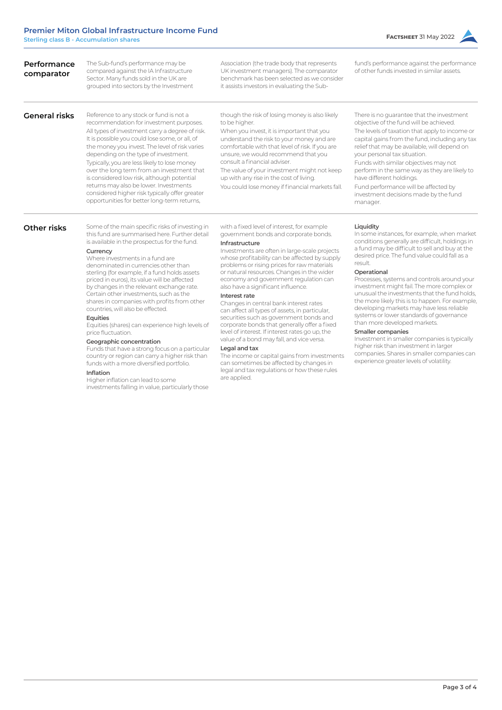